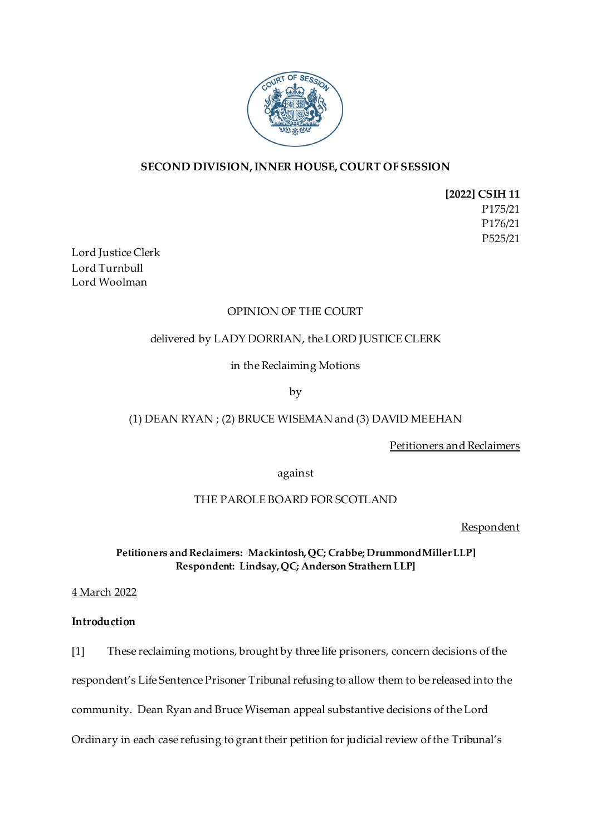

# **SECOND DIVISION, INNER HOUSE, COURT OF SESSION**

**[2022] CSIH 11** P175/21 P176/21 P525/21

Lord Justice Clerk Lord Turnbull Lord Woolman

## OPINION OF THE COURT

## delivered by LADY DORRIAN, the LORD JUSTICE CLERK

in the Reclaiming Motions

by

# (1) DEAN RYAN ; (2) BRUCE WISEMAN and (3) DAVID MEEHAN

Petitioners and Reclaimers

against

## THE PAROLE BOARD FOR SCOTLAND

Respondent

**Petitioners and Reclaimers: Mackintosh, QC; Crabbe; Drummond Miller LLP] Respondent: Lindsay, QC; Anderson Strathern LLP]**

4 March 2022

## **Introduction**

[1] These reclaiming motions, brought by three life prisoners, concern decisions of the

respondent's Life Sentence Prisoner Tribunal refusing to allow them to be released into the

community. Dean Ryan and Bruce Wiseman appeal substantive decisions of the Lord

Ordinary in each case refusing to grant their petition for judicial review of the Tribunal's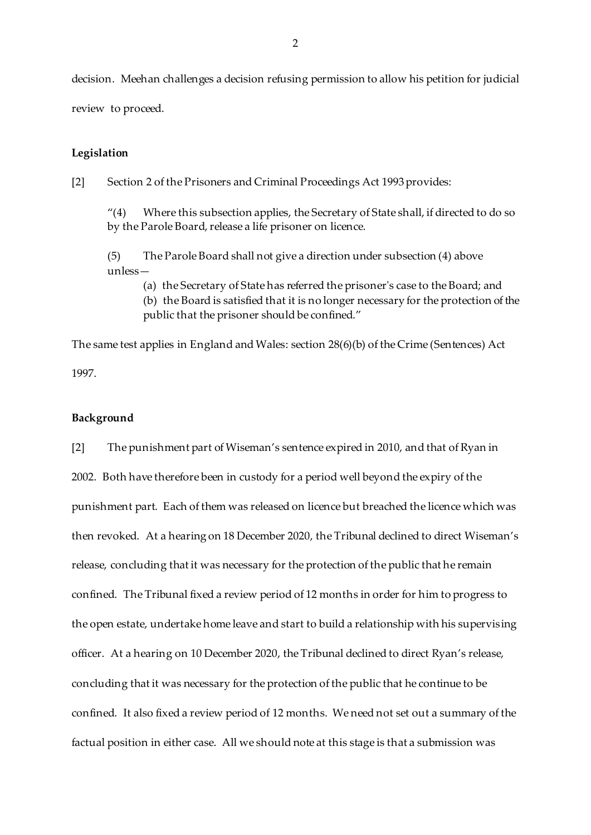decision. Meehan challenges a decision refusing permission to allow his petition for judicial review to proceed.

#### **Legislation**

[2] Section 2 of the Prisoners and Criminal Proceedings Act 1993 provides:

"(4) Where this subsection applies, the Secretary of State shall, if directed to do so by the Parole Board, release a life prisoner on licence.

(5) The Parole Board shall not give a direction under subsection (4) above unless—

(a) the Secretary of State has referred the prisoner's case to the Board; and

(b) the Board is satisfied that it is no longer necessary for the protection of the public that the prisoner should be confined."

The same test applies in England and Wales: section 28(6)(b) of the Crime (Sentences) Act 1997.

### **Background**

[2] The punishment part of Wiseman's sentence expired in 2010, and that of Ryan in 2002. Both have therefore been in custody for a period well beyond the expiry of the punishment part. Each of them was released on licence but breached the licence which was then revoked. At a hearing on 18 December 2020, the Tribunal declined to direct Wiseman's release, concluding that it was necessary for the protection of the public that he remain confined. The Tribunal fixed a review period of 12 months in order for him to progress to the open estate, undertake home leave and start to build a relationship with his supervising officer. At a hearing on 10 December 2020, the Tribunal declined to direct Ryan's release, concluding that it was necessary for the protection of the public that he continue to be confined. It also fixed a review period of 12 months. We need not set out a summary of the factual position in either case. All we should note at this stage is that a submission was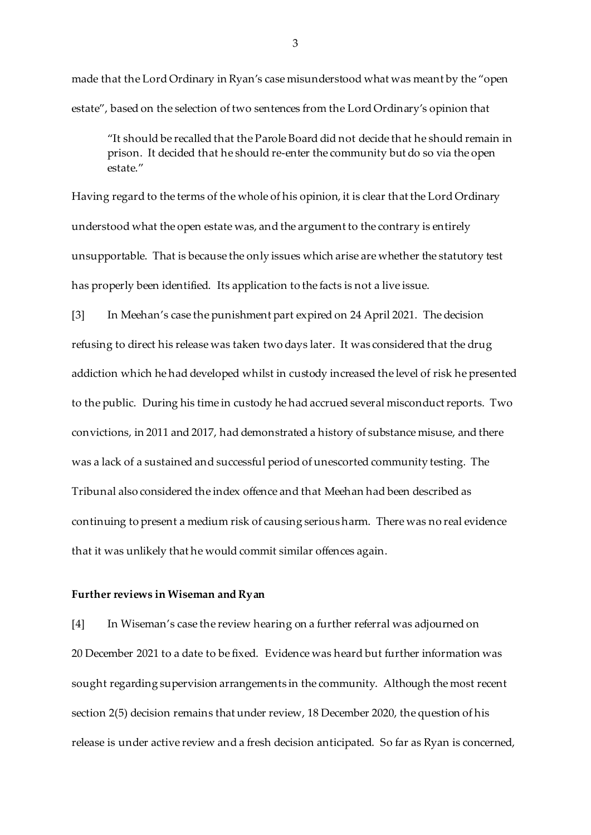made that the Lord Ordinary in Ryan's case misunderstood what was meant by the "open estate", based on the selection of two sentences from the Lord Ordinary's opinion that

"It should be recalled that the Parole Board did not decide that he should remain in prison. It decided that he should re-enter the community but do so via the open estate."

Having regard to the terms of the whole of his opinion, it is clear that the Lord Ordinary understood what the open estate was, and the argument to the contrary is entirely unsupportable. That is because the only issues which arise are whether the statutory test has properly been identified. Its application to the facts is not a live issue.

[3] In Meehan's case the punishment part expired on 24 April 2021. The decision refusing to direct his release was taken two days later. It was considered that the drug addiction which he had developed whilst in custody increased the level of risk he presented to the public. During his time in custody he had accrued several misconduct reports. Two convictions, in 2011 and 2017, had demonstrated a history of substance misuse, and there was a lack of a sustained and successful period of unescorted community testing. The Tribunal also considered the index offence and that Meehan had been described as continuing to present a medium risk of causing serious harm. There was no real evidence that it was unlikely that he would commit similar offences again.

#### **Further reviews in Wiseman and Ryan**

[4] In Wiseman's case the review hearing on a further referral was adjourned on 20 December 2021 to a date to be fixed. Evidence was heard but further information was sought regarding supervision arrangements in the community. Although the most recent section 2(5) decision remains that under review, 18 December 2020, the question of his release is under active review and a fresh decision anticipated. So far as Ryan is concerned,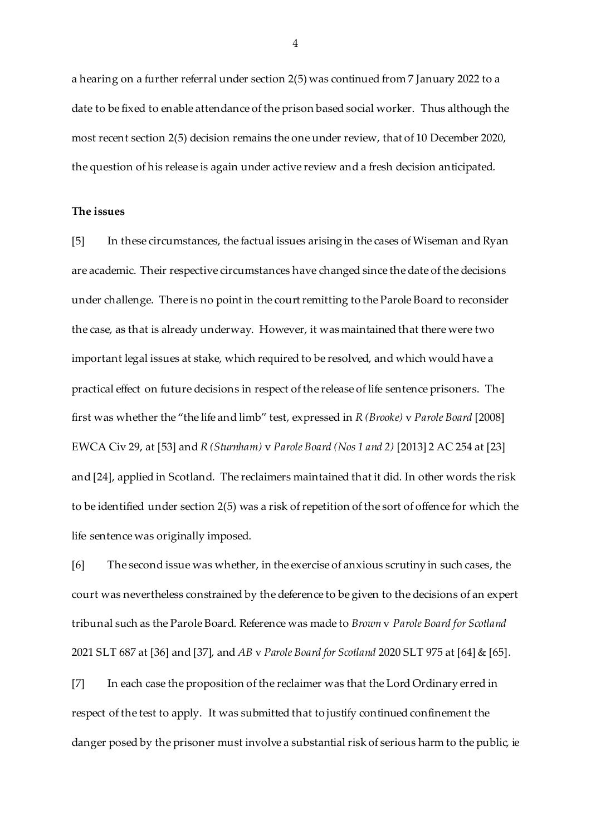a hearing on a further referral under section 2(5) was continued from 7 January 2022 to a date to be fixed to enable attendance of the prison based social worker. Thus although the most recent section 2(5) decision remains the one under review, that of 10 December 2020, the question of his release is again under active review and a fresh decision anticipated.

### **The issues**

[5] In these circumstances, the factual issues arising in the cases of Wiseman and Ryan are academic. Their respective circumstances have changed since the date of the decisions under challenge. There is no point in the court remitting to the Parole Board to reconsider the case, as that is already underway. However, it was maintained that there were two important legal issues at stake, which required to be resolved, and which would have a practical effect on future decisions in respect of the release of life sentence prisoners. The first was whether the "the life and limb" test, expressed in *R (Brooke)* v *Parole Board* [2008] EWCA Civ 29, at [53] and *R (Sturnham)* v *Parole Board (Nos 1 and 2)* [2013] 2 AC 254 at [23] and [24], applied in Scotland. The reclaimers maintained that it did. In other words the risk to be identified under section 2(5) was a risk of repetition of the sort of offence for which the life sentence was originally imposed.

[6] The second issue was whether, in the exercise of anxious scrutiny in such cases, the court was nevertheless constrained by the deference to be given to the decisions of an expert tribunal such as the Parole Board. Reference was made to *Brown* v *Parole Board for Scotland* 2021 SLT 687 at [36] and [37], and *AB* v *Parole Board for Scotland* 2020 SLT 975 at [64] & [65].

[7] In each case the proposition of the reclaimer was that the Lord Ordinary erred in respect of the test to apply. It was submitted that to justify continued confinement the danger posed by the prisoner must involve a substantial risk of serious harm to the public, ie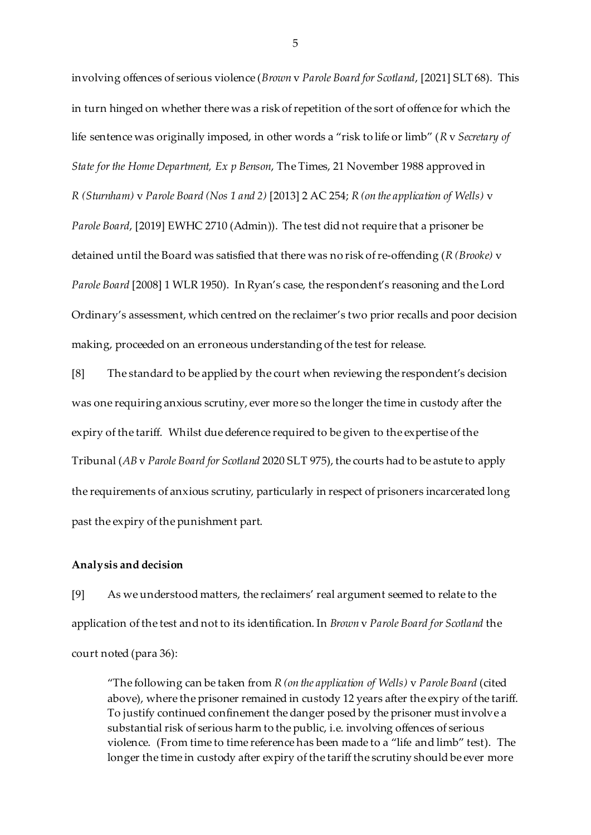involving offences of serious violence (*Brown* v *Parole Board for Scotland*, [2021] SLT 68). This in turn hinged on whether there was a risk of repetition of the sort of offence for which the life sentence was originally imposed, in other words a "risk to life or limb" (*R* v *Secretary of State for the Home Department, Ex p Benson*, The Times, 21 November 1988 approved in *R (Sturnham)* v *Parole Board (Nos 1 and 2)* [2013] 2 AC 254; *R (on the application of Wells)* v *Parole Board*, [2019] EWHC 2710 (Admin)). The test did not require that a prisoner be detained until the Board was satisfied that there was no risk of re-offending (*R (Brooke)* v *Parole Board* [2008] 1 WLR 1950). In Ryan's case, the respondent's reasoning and the Lord Ordinary's assessment, which centred on the reclaimer's two prior recalls and poor decision making, proceeded on an erroneous understanding of the test for release.

[8] The standard to be applied by the court when reviewing the respondent's decision was one requiring anxious scrutiny, ever more so the longer the time in custody after the expiry of the tariff. Whilst due deference required to be given to the expertise of the Tribunal (*AB* v *Parole Board for Scotland* 2020 SLT 975), the courts had to be astute to apply the requirements of anxious scrutiny, particularly in respect of prisoners incarcerated long past the expiry of the punishment part.

#### **Analysis and decision**

[9] As we understood matters, the reclaimers' real argument seemed to relate to the application of the test and not to its identification. In *Brown* v *Parole Board for Scotland* the court noted (para 36):

"The following can be taken from *R (on the application of Wells)* v *Parole Board* (cited above), where the prisoner remained in custody 12 years after the expiry of the tariff. To justify continued confinement the danger posed by the prisoner must involve a substantial risk of serious harm to the public, i.e. involving offences of serious violence. (From time to time reference has been made to a "life and limb" test). The longer the time in custody after expiry of the tariff the scrutiny should be ever more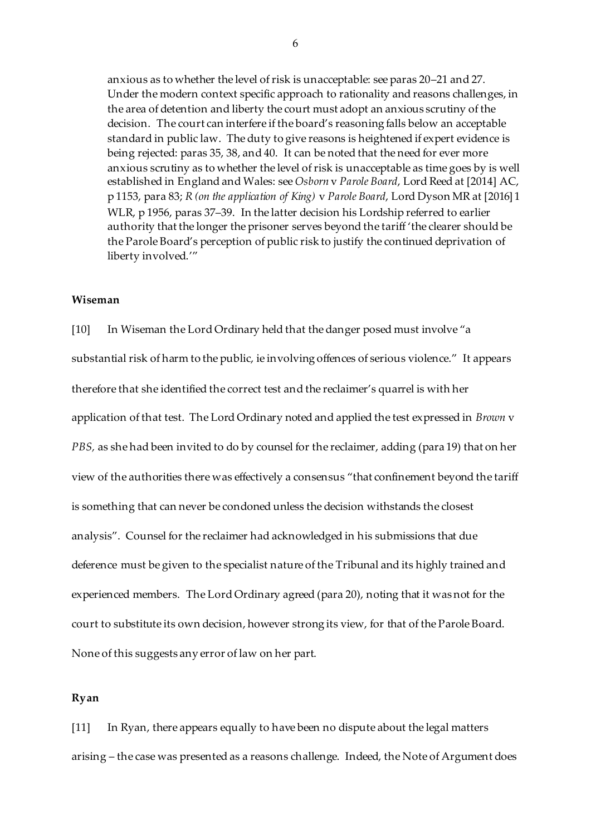anxious as to whether the level of risk is unacceptable: see paras 20–21 and 27. Under the modern context specific approach to rationality and reasons challenges, in the area of detention and liberty the court must adopt an anxious scrutiny of the decision. The court can interfere if the board's reasoning falls below an acceptable standard in public law. The duty to give reasons is heightened if expert evidence is being rejected: paras 35, 38, and 40. It can be noted that the need for ever more anxious scrutiny as to whether the level of risk is unacceptable as time goes by is well established in England and Wales: see *Osborn* v *Parole Board*, Lord Reed at [2014] AC, p 1153, para 83; *R (on the application of King)* v *Parole Board*, Lord Dyson MR at [2016] 1 WLR, p 1956, paras 37–39. In the latter decision his Lordship referred to earlier authority that the longer the prisoner serves beyond the tariff 'the clearer should be the Parole Board's perception of public risk to justify the continued deprivation of liberty involved.'"

### **Wiseman**

[10] In Wiseman the Lord Ordinary held that the danger posed must involve "a substantial risk of harm to the public, ie involving offences of serious violence." It appears therefore that she identified the correct test and the reclaimer's quarrel is with her application of that test. The Lord Ordinary noted and applied the test expressed in *Brown* v *PBS,* as she had been invited to do by counsel for the reclaimer, adding (para 19) that on her view of the authorities there was effectively a consensus "that confinement beyond the tariff is something that can never be condoned unless the decision withstands the closest analysis". Counsel for the reclaimer had acknowledged in his submissions that due deference must be given to the specialist nature of the Tribunal and its highly trained and experienced members. The Lord Ordinary agreed (para 20), noting that it was not for the court to substitute its own decision, however strong its view, for that of the Parole Board. None of this suggests any error of law on her part.

### **Ryan**

[11] In Ryan, there appears equally to have been no dispute about the legal matters arising – the case was presented as a reasons challenge. Indeed, the Note of Argument does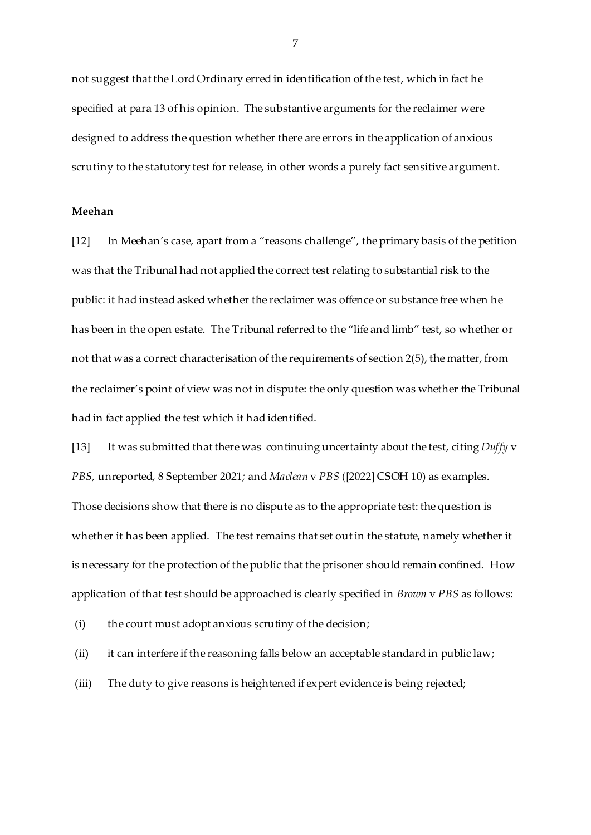not suggest that the Lord Ordinary erred in identification of the test, which in fact he specified at para 13 of his opinion. The substantive arguments for the reclaimer were designed to address the question whether there are errors in the application of anxious scrutiny to the statutory test for release, in other words a purely fact sensitive argument.

#### **Meehan**

[12] In Meehan's case, apart from a "reasons challenge", the primary basis of the petition was that the Tribunal had not applied the correct test relating to substantial risk to the public: it had instead asked whether the reclaimer was offence or substance free when he has been in the open estate. The Tribunal referred to the "life and limb" test, so whether or not that was a correct characterisation of the requirements of section 2(5), the matter, from the reclaimer's point of view was not in dispute: the only question was whether the Tribunal had in fact applied the test which it had identified.

[13] It was submitted that there was continuing uncertainty about the test, citing *Duffy* v *PBS,* unreported, 8 September 2021*;* and *Maclean* v *PBS* ([2022] CSOH 10) as examples. Those decisions show that there is no dispute as to the appropriate test: the question is whether it has been applied. The test remains that set out in the statute, namely whether it is necessary for the protection of the public that the prisoner should remain confined. How application of that test should be approached is clearly specified in *Brown* v *PBS* as follows:

(i) the court must adopt anxious scrutiny of the decision;

(ii) it can interfere if the reasoning falls below an acceptable standard in public law;

(iii) The duty to give reasons is heightened if expert evidence is being rejected;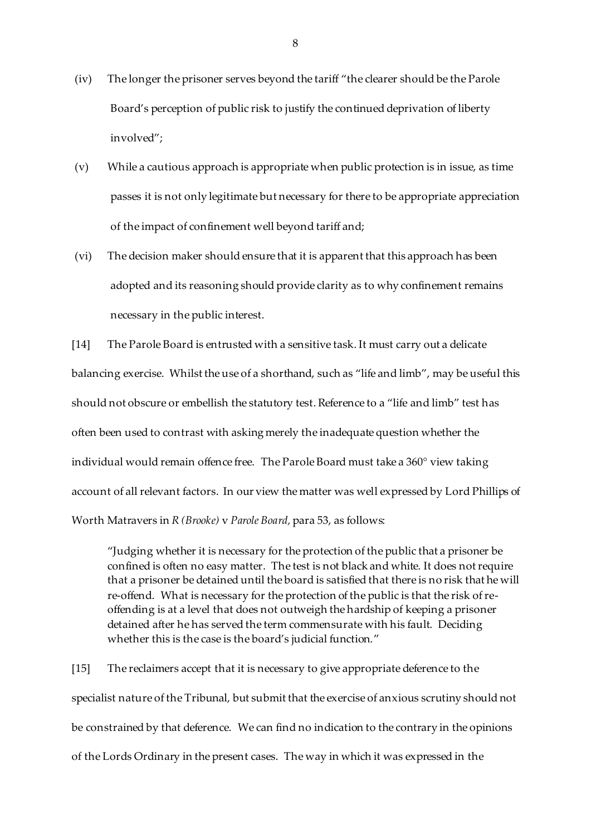- (iv) The longer the prisoner serves beyond the tariff "the clearer should be the Parole Board's perception of public risk to justify the continued deprivation of liberty involved";
- (v) While a cautious approach is appropriate when public protection is in issue, as time passes it is not only legitimate but necessary for there to be appropriate appreciation of the impact of confinement well beyond tariff and;
- (vi) The decision maker should ensure that it is apparent that this approach has been adopted and its reasoning should provide clarity as to why confinement remains necessary in the public interest.

[14] The Parole Board is entrusted with a sensitive task. It must carry out a delicate balancing exercise. Whilst the use of a shorthand, such as "life and limb", may be useful this should not obscure or embellish the statutory test. Reference to a "life and limb" test has often been used to contrast with asking merely the inadequate question whether the individual would remain offence free. The Parole Board must take a 360° view taking account of all relevant factors. In our view the matter was well expressed by Lord Phillips of Worth Matravers in *R (Brooke)* v *Parole Board,* para 53, as follows:

"Judging whether it is necessary for the protection of the public that a prisoner be confined is often no easy matter. The test is not black and white. It does not require that a prisoner be detained until the board is satisfied that there is no risk that he will re-offend. What is necessary for the protection of the public is that the risk of reoffending is at a level that does not outweigh the hardship of keeping a prisoner detained after he has served the term commensurate with his fault. Deciding whether this is the case is the board's judicial function."

[15] The reclaimers accept that it is necessary to give appropriate deference to the specialist nature of the Tribunal, but submit that the exercise of anxious scrutiny should not be constrained by that deference. We can find no indication to the contrary in the opinions of the Lords Ordinary in the present cases. The way in which it was expressed in the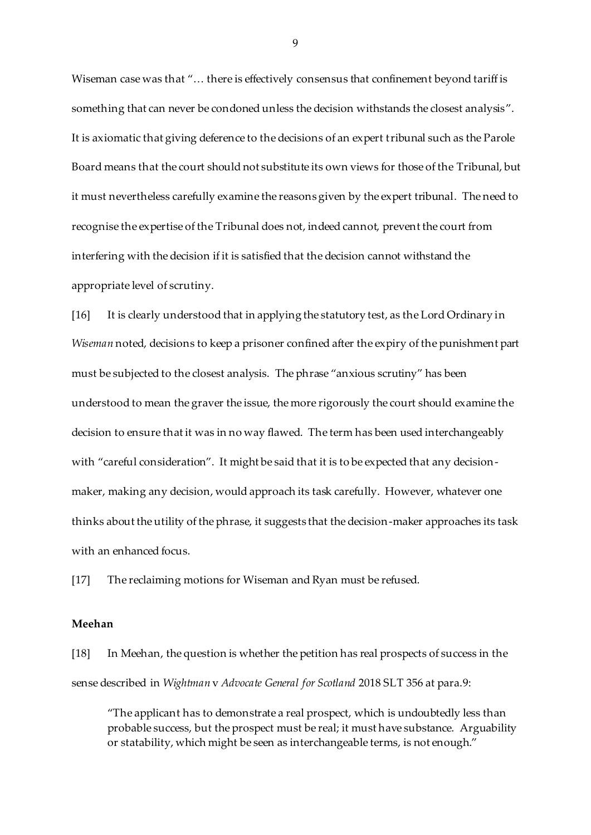Wiseman case was that "... there is effectively consensus that confinement beyond tariff is something that can never be condoned unless the decision withstands the closest analysis". It is axiomatic that giving deference to the decisions of an expert tribunal such as the Parole Board means that the court should not substitute its own views for those of the Tribunal, but it must nevertheless carefully examine the reasons given by the expert tribunal. The need to recognise the expertise of the Tribunal does not, indeed cannot, prevent the court from interfering with the decision if it is satisfied that the decision cannot withstand the appropriate level of scrutiny.

[16] It is clearly understood that in applying the statutory test, as the Lord Ordinary in *Wiseman* noted, decisions to keep a prisoner confined after the expiry of the punishment part must be subjected to the closest analysis. The phrase "anxious scrutiny" has been understood to mean the graver the issue, the more rigorously the court should examine the decision to ensure that it was in no way flawed. The term has been used interchangeably with "careful consideration". It might be said that it is to be expected that any decisionmaker, making any decision, would approach its task carefully. However, whatever one thinks about the utility of the phrase, it suggests that the decision-maker approaches its task with an enhanced focus.

[17] The reclaiming motions for Wiseman and Ryan must be refused.

#### **Meehan**

[18] In Meehan, the question is whether the petition has real prospects of success in the sense described in *Wightman* v *Advocate General for Scotland* 2018 SLT 356 at para.9:

"The applicant has to demonstrate a real prospect, which is undoubtedly less than probable success, but the prospect must be real; it must have substance. Arguability or statability, which might be seen as interchangeable terms, is not enough."